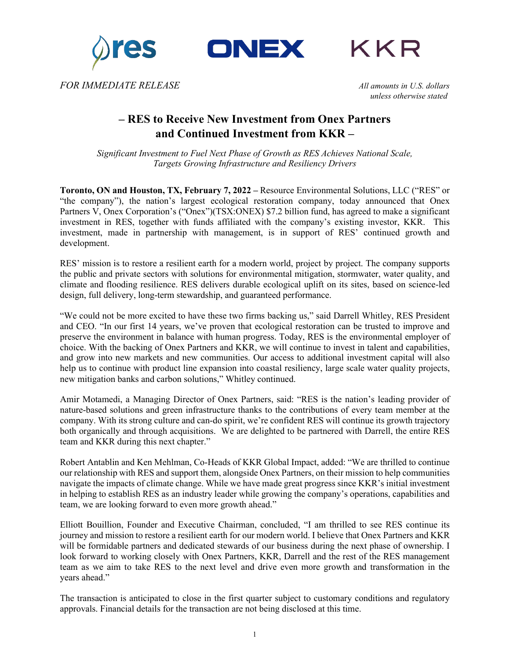





*FOR IMMEDIATE RELEASE All amounts in U.S. dollars*

*unless otherwise stated*

# **– RES to Receive New Investment from Onex Partners and Continued Investment from KKR –**

*Significant Investment to Fuel Next Phase of Growth as RES Achieves National Scale, Targets Growing Infrastructure and Resiliency Drivers*

**Toronto, ON and Houston, TX, February 7, 2022 –** Resource Environmental Solutions, LLC ("RES" or "the company"), the nation's largest ecological restoration company, today announced that Onex Partners V, Onex Corporation's ("Onex")(TSX:ONEX) \$7.2 billion fund, has agreed to make a significant investment in RES, together with funds affiliated with the company's existing investor, KKR. This investment, made in partnership with management, is in support of RES' continued growth and development.

RES' mission is to restore a resilient earth for a modern world, project by project. The company supports the public and private sectors with solutions for environmental mitigation, stormwater, water quality, and climate and flooding resilience. RES delivers durable ecological uplift on its sites, based on science-led design, full delivery, long-term stewardship, and guaranteed performance.

"We could not be more excited to have these two firms backing us," said Darrell Whitley, RES President and CEO. "In our first 14 years, we've proven that ecological restoration can be trusted to improve and preserve the environment in balance with human progress. Today, RES is the environmental employer of choice. With the backing of Onex Partners and KKR, we will continue to invest in talent and capabilities, and grow into new markets and new communities. Our access to additional investment capital will also help us to continue with product line expansion into coastal resiliency, large scale water quality projects, new mitigation banks and carbon solutions," Whitley continued.

Amir Motamedi, a Managing Director of Onex Partners, said: "RES is the nation's leading provider of nature-based solutions and green infrastructure thanks to the contributions of every team member at the company. With its strong culture and can-do spirit, we're confident RES will continue its growth trajectory both organically and through acquisitions. We are delighted to be partnered with Darrell, the entire RES team and KKR during this next chapter."

Robert Antablin and Ken Mehlman, Co-Heads of KKR Global Impact, added: "We are thrilled to continue our relationship with RES and support them, alongside Onex Partners, on their mission to help communities navigate the impacts of climate change. While we have made great progress since KKR's initial investment in helping to establish RES as an industry leader while growing the company's operations, capabilities and team, we are looking forward to even more growth ahead."

Elliott Bouillion, Founder and Executive Chairman, concluded, "I am thrilled to see RES continue its journey and mission to restore a resilient earth for our modern world. I believe that Onex Partners and KKR will be formidable partners and dedicated stewards of our business during the next phase of ownership. I look forward to working closely with Onex Partners, KKR, Darrell and the rest of the RES management team as we aim to take RES to the next level and drive even more growth and transformation in the years ahead."

The transaction is anticipated to close in the first quarter subject to customary conditions and regulatory approvals. Financial details for the transaction are not being disclosed at this time.